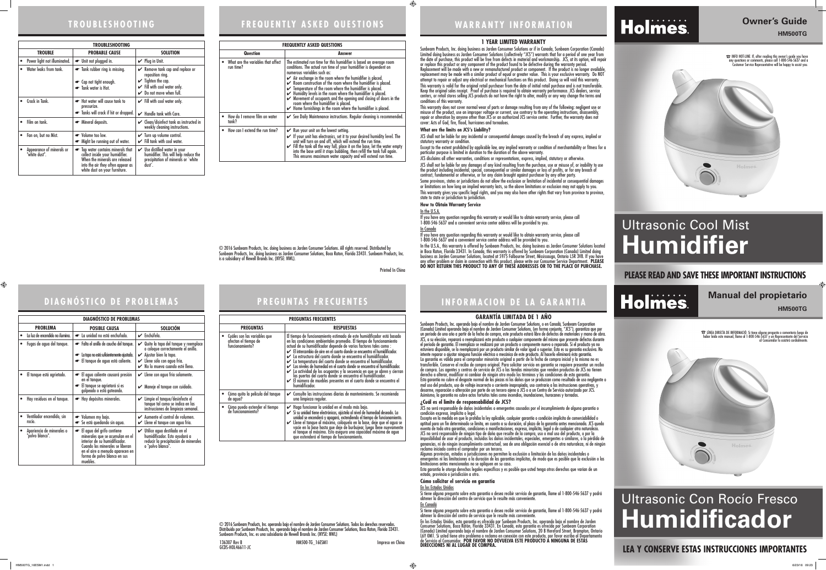## **WARRANTY INFORMATION**

#### **PLEASE READ AND SAVE THESE IMPORTANT INSTRUCTIONS**

**Owner's Guide** 

# **HM500TG**

Printed In China

# Ultrasonic Cool Mist **Humidifier**



#### **LEA Y CONSERVE ESTAS INSTRUCCIONES IMPORTANTES**

**HM500TG**

GCDS-HOL46611-JC

# Ultrasonic Con Rocío Fresco **Humidificador**

#### **1 YEAR LIMITED WARRANTY**

Sunbeam Products, Inc. doing business as Jarden Consumer Solutions or if in Canada, Sunbeam Corporation (Canada) Limited doing business as Jarden Consumer Solutions (collectively "JCS") warrants that for a period of one year from the date of purchase, this product will be free from defects in material and workmanship. JCS, at its option, will repair or replace this product or any component of the product found to be defective during the warranty period.

Replacement will be made with a new or remanufactured product or component. If the product is no longer available, replacement may be made with a similar product of equal or greater value. This is your exclusive warranty. Do NOT attempt to repair or adjust any electrical or mechanical functions on this product. Doing so will void this warranty. This warranty is valid for the original retail purchaser from the date of initial retail purchase and is not transferable. Keep the original sales receipt. Proof of purchase is required to obtain warranty performance. JCS dealers, service centers, or retail stores selling JCS products do not have the right to alter, modify or any way change the terms and conditions of this warranty.

In the U.S.A. If you have any question regarding this warranty or would like to obtain warranty service, please call 1-800-546-5637 and a convenient service center address will be provided to you. In Canada

 $\bigoplus$ 

This warranty does not cover normal wear of parts or damage resulting from any of the following: negligent use or misuse of the product, use on improper voltage or current, use contrary to the operating instructions, disassembly, repair or alteration by anyone other than JCS or an authorized JCS service center. Further, the warranty does not cover: Acts of God, fire, flood, hurricanes and tornadoes.

#### **What are the limits on JCS's Liability?**

JCS shall not be liable for any incidental or consequential damages caused by the breach of any express, implied or

# statutory warranty or condition.

Except to the extent prohibited by applicable law, any implied warranty or condition of merchantability or fitness for a particular purpose is limited in duration to the duration of the above warranty.

JCS disclaims all other warranties, conditions or representations, express, implied, statutory or otherwise.

JCS shall not be liable for any damages of any kind resulting from the purchase, use or misuse of, or inability to use the product including incidental, special, consequential or similar damages or loss of profits, or for any breach of contract, fundamental or otherwise, or for any claim brought against purchaser by any other party.

Some provinces, states or jurisdictions do not allow the exclusion or limitation of incidental or consequential damages or limitations on how long an implied warranty lasts, so the above limitations or exclusion may not apply to you. This warranty gives you specific legal rights, and you may also have other rights that vary from province to province,

state to state or jurisdiction to jurisdiction. **How to Obtain Warranty Service**

If you have any question regarding this warranty or would like to obtain warranty service, please call 1-800-546-5637 and a convenient service center address will be provided to you.

In the U.S.A., this warranty is offered by Sunbeam Products, Inc. doing business as Jarden Consumer Solutions located in Boca Raton, Florida 33431. In Canada, this warranty is offered by Sunbeam Corporation (Canada) Limited doing business as Jarden Consumer Solutions, located at 5975 Falbourne Street, Mississauga, Ontario L5R 3V8. If you have any other problem or claim in connection with this product, please write our Consumer Service Department. **PLEASE DO NOT RETURN THIS PRODUCT TO ANY OF THESE ADDRESSES OR TO THE PLACE OF PURCHASE.** 

#### **GARANTÍA LIMITADA DE 1 AÑO**

☎ LÍNEA DIRECTA DE INFORMACIÓ: Si tiene alguna pregunta o comentario luego de haber leído este manual, llame al 1-800-546-5637 y un Representante del Servicio al Consumidor lo asistirá cordialment



Sunbeam Products, Inc. operando bajo el nombre de Jarden Consumer Solutions, o en Canadá, Sunbeam Corporation (Canada) Limited operando bajo el nombre de Jarden Consumer Solutions, (en forma conjunta, "JCS"), garantiza que por un período de uno año a partir de la fecha de compra, este producto estará libre de defectos de materiales y mano de obra. JCS, a su elección, reparará o reemplazará este producto o cualquier componente del mismo que presente defectos durante el período de garantía. El reemplazo se realizará por un producto o componente nuevo o reparado. Si el producto ya no estuviera disponible, se lo reemplazará por un producto similar de valor igual o superior. Ésta es su garantía exclusiva. No intente reparar o ajustar ninguna función eléctrica o mecánica de este producto. Al hacerlo elimínará ésta garantía. La garantía es válida para el comprador minorista original a partir de la fecha de compra inicial y la misma no es transferible. Conserve el recibo de compra original. Para solicitar servicio en garantía se requiere presentar un recibo de compra. Los agentes y centros de servicio de JCS o las tiendas minoristas que venden productos de JCS no tienen derecho a alterar, modificar ni cambiar de ningún otro modo los términos y las condiciones de esta garantía. Esta garantía no cubre el desgaste normal de las piezas ni los daños que se produzcan como resultado de uso negligente o mal uso del producto, uso de voltaje incorrecto o corriente inapropiada, uso contrario a las instrucciones operativas, y desarme, reparación o alteración por parte de un tercero ajeno a JCS o a un Centro de Servicio autorizado por JCS. Asimismo, la garantía no cubre actos fortuitos tales como incendios, inundaciones, huracanes y tornados.

#### **¿Cuál es el límite de responsabilidad de JCS?**

JCS no será responsable de daños incidentales o emergentes causados por el incumplimiento de alguna garantía o

Excepto en la medida en que lo prohíba la ley aplicable, cualquier garantía o condición implícita de comerciabilidad o aptitud para un fin determinado se limita, en cuanto a su duración, al plazo de la garantía antes mencionada. JCS queda exenta de toda otra garantías, condiciones o manifestaciones, expresa, implícita, legal o de cualquier otra naturaleza. JCS no será responsable de ningún tipo de daño que resulte de la compra, uso o mal uso del producto, o por la

condición expresa, implícita o legal. estado, provincia o jurisdicción a otro.

imposibilidad de usar el producto, incluidos los daños incidentales, especiales, emergentes o similares, o la pérdida de ganancias, ni de ningún incumplimiento contractual, sea de una obligación esencial o de otra naturaleza, ni de ningún reclamo iniciado contra el comprador por un tercero.

Algunas provincias, estados o jurisdicciones no permiten la exclusión o limitación de los daños incidentales o emergentes ni las limitaciones a la duración de las garantías implícitas, de modo que es posible que la exclusión o las limitaciones antes mencionadas no se apliquen en su caso.

Esta garantía le otorga derechos legales específicos y es posible que usted tenga otros derechos que varían de un

#### **Cómo solicitar el servicio en garantía**

Si tiene alguna pregunta sobre esta garantía o desea recibir servicio de garantía, llame al 1-800-546-5637 y podrá<br>obtener la dirección del centro de servicio que le resulte más conveniente.

Si tiene alguna pregunta sobre esta garantía o desea recibir servicio de garantía, llame al 1-800-546-5637 y podrá<br>obtener la dirección del centro de servicio que le resulte más conveniente.

En los Estados Unidos En Canadá

En los Estados Unidos, esta garantía es ofrecida por Sunbeam Products, Inc. operando bajo el nombre de Jarden Consumer Solutions, Boca Ratón, Florida 33431. En Canadá, esta garantía es ofrecida por Sunbeam Corporation (Canada) Limited operando bajo el nombre de Jarden Consumer Solutions, 20 B Hereford Street, Brampton, Ontario L6Y 0M1. Si usted tiene otro problema o reclamo en conexión con este producto, por favor escriba al Departamento de Servicio al Consumidor. **POR FAVOR NO DEVUELVA ESTE PRODUCTO A NINGUNA DE ESTAS** 

Holmes.

**DIRECCIONES NI AL LUGAR DE COMPRA.** 

© 2016 Sunbeam Products, Inc. doing business as Jarden Consumer Solutions. All rights reserved. Distributed by

Sunbeam Products, Inc. doing business as Jarden Consumer Solutions, Boca Raton, Florida 33431. Sunbeam Products, Inc.

is a subsidiary of Newell Brands Inc. (NYSE: NWL).

| © 2016 Sunbeam Products, Inc. operando bajo el nombre de Jarden Consumer Solutions. Todos los derechos reservados.      |
|-------------------------------------------------------------------------------------------------------------------------|
| Distribuido por Sunbeam Products, Inc. operando bajo el nombre de Jarden Consumer Solutions, Boca Raton, Florida 33431. |
| Sunbeam Products, Inc. es una subsidiaria de Newell Brands Inc. (NYSE: NWL)                                             |

136307 Rev B **HM500-TG** 16ESM1 **Impreso en China** 

☎ INFO HOT-LINE: If, after reading this owner's guide you have any questions or comments, please call 1-800-546-5637 and a Customer Service Representative will be happy to assist you.



# **TROUBLESHOOTING FREQUENTLY ASKED QUESTIONS**

# **DIAGNÓSTICO DE PROBLEMAS PREGUNTAS FRECUENTES**

| <b>TROUBLESHOOTING</b>                     |                                                                                                                                                                             |                                                                                                                                                               |  |  |
|--------------------------------------------|-----------------------------------------------------------------------------------------------------------------------------------------------------------------------------|---------------------------------------------------------------------------------------------------------------------------------------------------------------|--|--|
| <b>TROUBLE</b>                             | <b>PROBABLE CAUSE</b>                                                                                                                                                       | <b>SOLUTION</b>                                                                                                                                               |  |  |
| Power light not illuminated.               | • Unit not plugged in.                                                                                                                                                      | Plug in Unit.<br>V                                                                                                                                            |  |  |
| Water leaks from tank.                     | Tank rubber ring is missing.<br>• Cap not tight enough.<br>Tank water is Hot.                                                                                               | Remove tank cap and replace or<br>V<br>reposition ring.<br>$\checkmark$ Tighten the cap.<br>$\checkmark$ Fill with cool water only.<br>Do not move when full. |  |  |
| Crack in Tank.                             | Hot water will cause tank to<br>pressurize.<br>Tanks will crack if hit or dropped.                                                                                          | $\checkmark$ Fill with cool water only.<br>$\mathcal V$ Handle tank with Care.                                                                                |  |  |
| Film on tank.                              | • Mineral deposits.                                                                                                                                                         | $\mathcal V$ Clean/disinfect tank as instructed in<br>weekly cleaning instructions.                                                                           |  |  |
| Fan on, but no Mist.                       | • Volume too low.<br>• Might be running out of water.                                                                                                                       | $\checkmark$ Turn up volume control.<br>Fill tank with cool water.<br>✓                                                                                       |  |  |
| Appearance of minerals or<br>"white dust". | Tap water contains minerals that<br>collect inside your humidifier.<br>When the minerals are released<br>into the air they often appear as<br>white dust on your furniture. | $\boldsymbol{\checkmark}$ Use distilled water in your<br>humidifier. This will help reduce the<br>precipitation of minerals or `white<br>dust'.               |  |  |

| <b>FREQUENTLY ASKED QUESTIONS</b>                            |                                                                                                                                                                                                                                                                                                                                                                                                                                                                                                                                                                                                                                                                                               |  |  |  |
|--------------------------------------------------------------|-----------------------------------------------------------------------------------------------------------------------------------------------------------------------------------------------------------------------------------------------------------------------------------------------------------------------------------------------------------------------------------------------------------------------------------------------------------------------------------------------------------------------------------------------------------------------------------------------------------------------------------------------------------------------------------------------|--|--|--|
| Question                                                     | Answer                                                                                                                                                                                                                                                                                                                                                                                                                                                                                                                                                                                                                                                                                        |  |  |  |
| What are the variables that affect<br>$\bullet$<br>run time? | The estimated run time for this humidifier is based on average room<br>conditions. The actual run time of your humidifier is dependent on<br>numerous variables such as:<br>$\swarrow$ Air exchange in the room where the humidifier is placed.<br>$\checkmark$ Room construction of the room where the humidifier is placed.<br>$\checkmark$ Temperature of the room where the humidifier is placed.<br>$\blacktriangleright$ Humidity levels in the room where the humidifier is placed.<br>Movement of occupants and the opening and closing of doors in the<br>room where the humidifier is placed.<br>$\blacktriangleright$ Home furnishings in the room where the humidifier is placed. |  |  |  |
| How do I remove film on water<br>tank?                       | ► See Daily Maintenance instructions. Regular cleaning is recommended.                                                                                                                                                                                                                                                                                                                                                                                                                                                                                                                                                                                                                        |  |  |  |
| How can I extend the run time?<br>$\bullet$                  | $\mathcal V$ Run your unit on the lowest setting.<br>If your unit has electronics, set it to your desired humidity level. The<br>unit will turn on and off, which will extend the run time.<br>Fill the tank all the way full, place it on the base, let the water empty<br>into the base until it stops bubbling, then refill the tank full again.<br>This ensures maximum water capacity and will extend run time.                                                                                                                                                                                                                                                                          |  |  |  |

| <b>DIAGNÓSTICO DE PROBLEMAS</b>              |                                                                                                                                                                                                                  |                                                                                                                                                                                                |  |  |  |
|----------------------------------------------|------------------------------------------------------------------------------------------------------------------------------------------------------------------------------------------------------------------|------------------------------------------------------------------------------------------------------------------------------------------------------------------------------------------------|--|--|--|
| <b>PROBLEMA</b>                              | <b>POSIBLE CAUSA</b>                                                                                                                                                                                             | <b>SOLUCIÓN</b>                                                                                                                                                                                |  |  |  |
| La luz de encendido no ilumina.              | La unidad no está enchufado.                                                                                                                                                                                     | $\mathcal V$ Enchúfela.                                                                                                                                                                        |  |  |  |
| Fugas de agua del tanque.                    | Falta el anillo de caucho del tanque.<br>La tapa no está suficientemente ajustada.<br>El tanque de agua está caliente.                                                                                           | ✔ Quite la tapa del tanque y reemplace<br>o coloque correctamente el anillo.<br>$\mathcal V$ Ajustar bien la tapa.<br>$\mathcal V$ Llene sólo con agua fría.<br>No lo mueva cuando esté lleno. |  |  |  |
| El tanque está agrietado.                    | El agua caliente causará presión<br>en el tanque.<br>El tanque se agrietará si es<br>golpeado o está goteando.                                                                                                   | $\mathcal V$ Llene con agua fría solamente.<br>Maneje el tanque con cuidado.                                                                                                                   |  |  |  |
| Hay residuos en el tanque.                   | Hay depósitos minerales.                                                                                                                                                                                         | Limpie el tanque/desinfecte el<br>tanque tal como se indica en las<br>✓<br>instrucciones de limpieza semanal.                                                                                  |  |  |  |
| Ventilador encendido, sin<br>rocío.          | Volumen my bajo.<br>Se está quedando sin agua.                                                                                                                                                                   | ← Aumente el control de volumen.<br>Llene el tanque con agua fría.<br>✓                                                                                                                        |  |  |  |
| Apariencia de minerales o<br>"polvo blanco". | El agua del grifo contiene<br>minerales que se acumulan en el<br>interior de su humidificador.<br>Cuando los minerales se liberan<br>en el aire a menudo aparecen en<br>forma de polvo blanco en sus<br>muebles. | $\mathcal V$ Utilice agua destilada en el<br>humidificador. Esto ayudará a<br>reducir la precipitación de minerales<br>o "polvo blanco".                                                       |  |  |  |

| <b>PREGUNTAS FRECUENTES</b>                                             |                                                                                                                                                                                                                                                                                                                                                                                                                                                                                                                                                                                                                                                                                                                                                                                      |  |  |  |
|-------------------------------------------------------------------------|--------------------------------------------------------------------------------------------------------------------------------------------------------------------------------------------------------------------------------------------------------------------------------------------------------------------------------------------------------------------------------------------------------------------------------------------------------------------------------------------------------------------------------------------------------------------------------------------------------------------------------------------------------------------------------------------------------------------------------------------------------------------------------------|--|--|--|
| <b>PREGUNTAS</b>                                                        | <b>RESPUESTAS</b>                                                                                                                                                                                                                                                                                                                                                                                                                                                                                                                                                                                                                                                                                                                                                                    |  |  |  |
| Cuáles son las variables que<br>afectan el tiempo de<br>funcionamiento? | El tiempo de funcionamiento estimado de este humidificador está basado<br>en las condiciones ambientales promedio. El tiempo de funcionamiento<br>actual de su humidificador depende de varios factores tales como :<br>$\swarrow$ El intercambio de aire en el cuarto donde se encuentra el humidificador.<br>$\swarrow$ La estructura del cuarto donde se encuentra el humidificador.<br>La temperatura del cuarto donde se encuentra el humidificador.<br>► Los niveles de humedad en el cuarto donde se encuentra el humidificador.<br>$\mathcal V$ La actividad de los ocupantes y la secuencia en que se abren y cierran<br>las puertas del cuarto donde se encuentra el humidificador.<br>El número de muebles presentes en el cuarto donde se encuentra el<br>humidificador. |  |  |  |
| Cómo quito la película del tanque<br>de agua?                           | ✔ Consulte las instrucciones diarias de mantenimiento. Se recomienda<br>una limpieza regular.                                                                                                                                                                                                                                                                                                                                                                                                                                                                                                                                                                                                                                                                                        |  |  |  |
| Cómo puedo extender el tiempo<br>de funcionamiento?                     | Haga funcionar la unidad en el modo más bajo.<br>Si su unidad tiene electrónicos, ajústela al nivel de humedad deseado. La<br>unidad se encenderá y apagará, extendiendo el tiempo de funcionamiento.<br>Llene el tanque al máximo, colóquelo en la base, deje que el agua se<br>vacíe en la base hasta que deje de burbujear, luego llene nuevamente<br>el tanque al máximo. Esto asegura una capacidad máxima de agua<br>que extenderá el tiempo de funcionamiento.                                                                                                                                                                                                                                                                                                                |  |  |  |

 $\bigoplus$